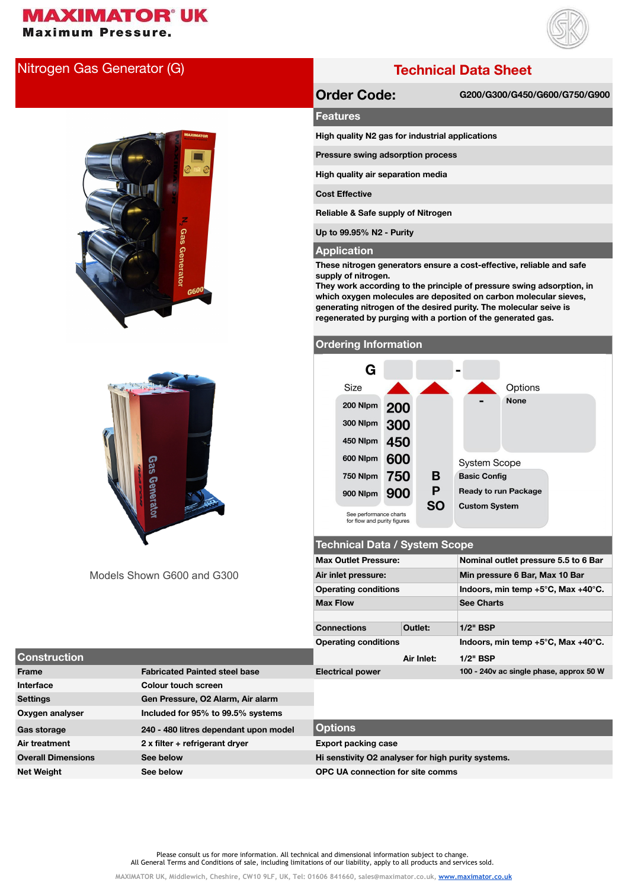# **MAXIMATOR' UK**

**Maximum Pressure.** 



## Nitrogen Gas Generator (G) **Technical Data Sheet**





**Order Code: G200/G300/G450/G600/G750/G900**

#### **Features**

**High quality N2 gas for industrial applications**

**Pressure swing adsorption process**

**High quality air separation media**

**Cost Effective**

**Reliable & Safe supply of Nitrogen**

**Up to 99.95% N2 - Purity**

#### **Application**

**These nitrogen generators ensure a cost-effective, reliable and safe supply of nitrogen.**

**They work according to the principle of pressure swing adsorption, in which oxygen molecules are deposited on carbon molecular sieves, generating nitrogen of the desired purity. The molecular seive is regenerated by purging with a portion of the generated gas.** 

#### **Ordering Information**

| G                                                     |     |           |                             |  |  |  |
|-------------------------------------------------------|-----|-----------|-----------------------------|--|--|--|
| Size                                                  |     |           | Options                     |  |  |  |
| 200 Nlpm                                              | 200 |           | <b>None</b>                 |  |  |  |
| 300 Nlpm                                              | 300 |           |                             |  |  |  |
| 450 Nlpm                                              | 450 |           |                             |  |  |  |
| 600 Nlpm                                              | 600 |           | <b>System Scope</b>         |  |  |  |
| 750 Nlpm                                              | 750 | в         | <b>Basic Config</b>         |  |  |  |
| 900 Nlpm                                              | 900 | P         | <b>Ready to run Package</b> |  |  |  |
| See performance charts<br>for flow and purity figures |     | <b>SO</b> | <b>Custom System</b>        |  |  |  |

#### **Technical Data / System Scope**

|                                      | <b>Max Outlet Pressure:</b> |            | Nominal outlet pressure 5.5 to 6 Bar                   |  |  |
|--------------------------------------|-----------------------------|------------|--------------------------------------------------------|--|--|
| Models Shown G600 and G300           | Air inlet pressure:         |            | Min pressure 6 Bar, Max 10 Bar                         |  |  |
|                                      | <b>Operating conditions</b> |            | Indoors, min temp $+5^{\circ}$ C, Max $+40^{\circ}$ C. |  |  |
|                                      | <b>Max Flow</b>             |            | <b>See Charts</b>                                      |  |  |
|                                      |                             |            |                                                        |  |  |
|                                      | <b>Connections</b>          | Outlet:    | $1/2$ " BSP                                            |  |  |
|                                      | <b>Operating conditions</b> |            | Indoors, min temp $+5^{\circ}$ C, Max $+40^{\circ}$ C. |  |  |
|                                      |                             | Air Inlet: | $1/2"$ BSP                                             |  |  |
| <b>Fabricated Painted steel base</b> | <b>Electrical power</b>     |            | 100 - 240v ac single phase, approx 50 W                |  |  |

| <b>Construction</b>       |                                       | Air Inlet:                                         | $1/2"$ BSP                              |
|---------------------------|---------------------------------------|----------------------------------------------------|-----------------------------------------|
| Frame                     | <b>Fabricated Painted steel base</b>  | <b>Electrical power</b>                            | 100 - 240v ac single phase, approx 50 W |
| Interface                 | Colour touch screen                   |                                                    |                                         |
| <b>Settings</b>           | Gen Pressure, O2 Alarm, Air alarm     |                                                    |                                         |
| Oxygen analyser           | Included for 95% to 99.5% systems     |                                                    |                                         |
| Gas storage               | 240 - 480 litres dependant upon model | <b>Options</b>                                     |                                         |
| Air treatment             | $2x$ filter + refrigerant dryer       | <b>Export packing case</b>                         |                                         |
| <b>Overall Dimensions</b> | See below                             | Hi senstivity O2 analyser for high purity systems. |                                         |
| <b>Net Weight</b>         | See below                             | <b>OPC UA connection for site comms</b>            |                                         |

Please consult us for more information. All technical and dimensional information subject to change. All General Terms and Conditions of sale, including limitations of our liability, apply to all products and services sold.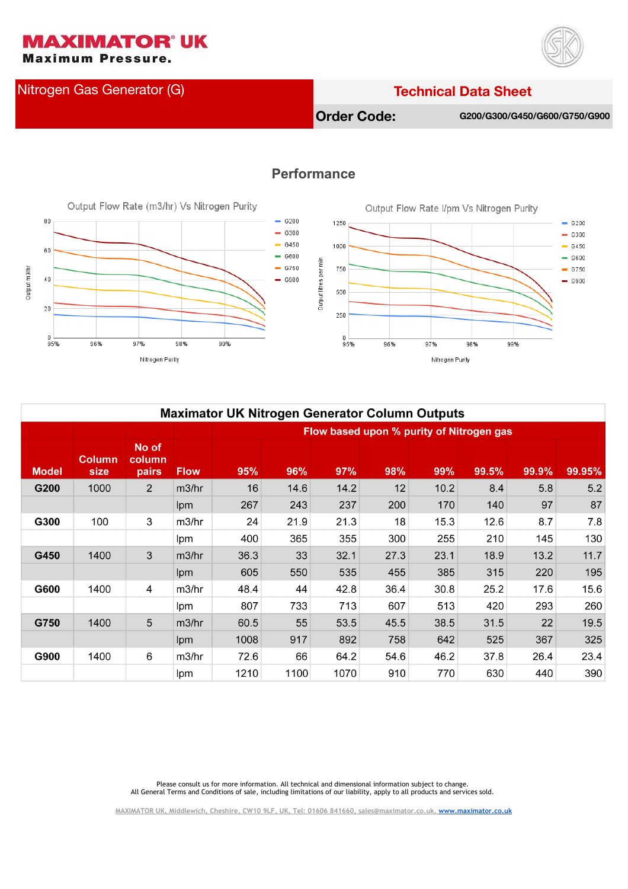**Maximum Pressure.** 

Nitrogen Gas Generator (G) **Technical Data Sheet**

**MAXIMATOR' UK** 



**Order Code: G200/G300/G450/G600/G750/G900**

#### Output Flow Rate (m3/hr) Vs Nitrogen Purity 80  $-6200$ 1250  $- 6300$  $- 6450$ 1000 60  $-6600$ Output litres per min  $- 6750$ 750 Output m3/hr 40  $-$  G900 500  $\overline{20}$ 250  $0 - 95%$  $0 - 95%$ 96% 97% 98% 99% Nitrogen Purity

### **Performance**



| <b>Maximator UK Nitrogen Generator Column Outputs</b> |                       |                          |                                          |      |      |      |      |      |       |       |        |
|-------------------------------------------------------|-----------------------|--------------------------|------------------------------------------|------|------|------|------|------|-------|-------|--------|
|                                                       |                       |                          | Flow based upon % purity of Nitrogen gas |      |      |      |      |      |       |       |        |
| <b>Model</b>                                          | <b>Column</b><br>size | No of<br>column<br>pairs | <b>Flow</b>                              | 95%  | 96%  | 97%  | 98%  | 99%  | 99.5% | 99.9% | 99.95% |
| G200                                                  | 1000                  | 2                        | m3/hr                                    | 16   | 14.6 | 14.2 | 12   | 10.2 | 8.4   | 5.8   | 5.2    |
|                                                       |                       |                          | lpm                                      | 267  | 243  | 237  | 200  | 170  | 140   | 97    | 87     |
| G300                                                  | 100                   | 3                        | m3/hr                                    | 24   | 21.9 | 21.3 | 18   | 15.3 | 12.6  | 8.7   | 7.8    |
|                                                       |                       |                          | lpm                                      | 400  | 365  | 355  | 300  | 255  | 210   | 145   | 130    |
| G450                                                  | 1400                  | 3                        | m3/hr                                    | 36.3 | 33   | 32.1 | 27.3 | 23.1 | 18.9  | 13.2  | 11.7   |
|                                                       |                       |                          | lpm                                      | 605  | 550  | 535  | 455  | 385  | 315   | 220   | 195    |
| G600                                                  | 1400                  | 4                        | m3/hr                                    | 48.4 | 44   | 42.8 | 36.4 | 30.8 | 25.2  | 17.6  | 15.6   |
|                                                       |                       |                          | lpm                                      | 807  | 733  | 713  | 607  | 513  | 420   | 293   | 260    |
| G750                                                  | 1400                  | 5                        | m3/hr                                    | 60.5 | 55   | 53.5 | 45.5 | 38.5 | 31.5  | 22    | 19.5   |
|                                                       |                       |                          | lpm                                      | 1008 | 917  | 892  | 758  | 642  | 525   | 367   | 325    |
| G900                                                  | 1400                  | 6                        | m3/hr                                    | 72.6 | 66   | 64.2 | 54.6 | 46.2 | 37.8  | 26.4  | 23.4   |
|                                                       |                       |                          | lpm                                      | 1210 | 1100 | 1070 | 910  | 770  | 630   | 440   | 390    |

Please consult us for more information. All technical and dimensional information subject to change. All General Terms and Conditions of sale, including limitations of our liability, apply to all products and services sold.

**[MAXIMATOR UK, Middlewich, Cheshire, CW10 9LF, UK, Tel: 01606 841660, sales@maximator.co.uk, www.maximator.co.uk](http://www.maximator.co.uk/)**